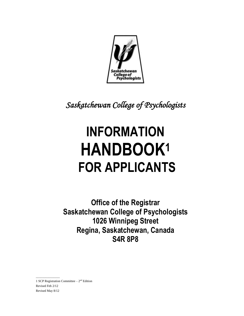

*Saskatchewan College of Psychologists* 

# **INFORMATION HANDBOOK<sup>1</sup> FOR APPLICANTS**

**Office of the Registrar Saskatchewan College of Psychologists 1026 Winnipeg Street Regina, Saskatchewan, Canada S4R 8P8**

1 SCP Registration Committee  $-2<sup>nd</sup>$  Edition Revised Feb 2/12 Revised May 8/12

*\_\_\_\_\_\_\_\_\_\_\_\_\_\_\_*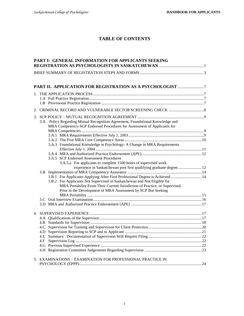# **TABLE OF CONTENTS**

| PART I: GENERAL INFORMATION FOR APPLICANTS SEEKING |                                                                                                                                                                                                                                                                                                                                                                                |  |  |
|----------------------------------------------------|--------------------------------------------------------------------------------------------------------------------------------------------------------------------------------------------------------------------------------------------------------------------------------------------------------------------------------------------------------------------------------|--|--|
|                                                    |                                                                                                                                                                                                                                                                                                                                                                                |  |  |
|                                                    |                                                                                                                                                                                                                                                                                                                                                                                |  |  |
|                                                    |                                                                                                                                                                                                                                                                                                                                                                                |  |  |
|                                                    |                                                                                                                                                                                                                                                                                                                                                                                |  |  |
|                                                    | 3.A Policy Regarding Mutual Recognition Agreement, Foundational Knowledge and<br>MRA Competency-SCP Endorsed Procedures for Assessment of Applicants for                                                                                                                                                                                                                       |  |  |
|                                                    |                                                                                                                                                                                                                                                                                                                                                                                |  |  |
|                                                    | 3.A.3 Foundational Knowledge in Psychology: A Change in MRA Requirements                                                                                                                                                                                                                                                                                                       |  |  |
|                                                    | 3.A.5 SCP Endorsed Assessment Procedures<br>3.A.5.a For applicants to complete 1500 hours of supervised work                                                                                                                                                                                                                                                                   |  |  |
|                                                    | experience in Saskatchewan post first qualifying graduate degree12<br>3.B.1 For Applicants Applying After First Professional Degree is Achieved  14<br>3.B.2 For Applicants Not Supervised in Saskatchewan and Not Eligible for<br>MRA Portability From Their Current Jurisdiction of Practice, or Supervised<br>Prior to the Development of MRA Assessment by SCP But Seeking |  |  |
|                                                    |                                                                                                                                                                                                                                                                                                                                                                                |  |  |
|                                                    |                                                                                                                                                                                                                                                                                                                                                                                |  |  |
|                                                    |                                                                                                                                                                                                                                                                                                                                                                                |  |  |
|                                                    |                                                                                                                                                                                                                                                                                                                                                                                |  |  |
|                                                    | 4.F                                                                                                                                                                                                                                                                                                                                                                            |  |  |
|                                                    | 5. EXAMINATIONS - EXAMINATION FOR PROFESSIONAL PRACTICE IN                                                                                                                                                                                                                                                                                                                     |  |  |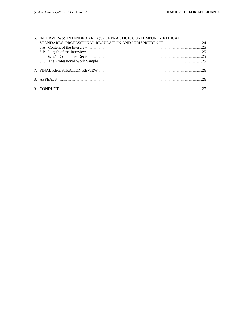| 6. INTERVIEWS: INTENDED AREA(S) OF PRACTICE, CONTEMPORTY ETHICAL |  |
|------------------------------------------------------------------|--|
|                                                                  |  |
|                                                                  |  |
|                                                                  |  |
|                                                                  |  |
|                                                                  |  |
|                                                                  |  |
|                                                                  |  |
|                                                                  |  |
|                                                                  |  |
|                                                                  |  |
|                                                                  |  |
|                                                                  |  |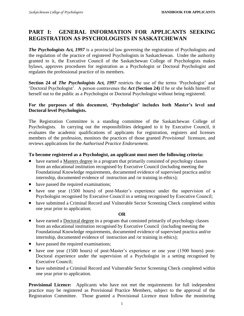# **PART I: GENERAL INFORMATION FOR APPLICANTS SEEKING REGISTRATION AS PSYCHOLOGISTS IN SASKATCHEWAN**

*The Psychologists Act, 1997* is a provincial law governing the registration of Psychologists and the regulation of the practice of registered Psychologists in Saskatchewan. Under the authority granted to it, the Executive Council of the Saskatchewan College of Psychologists makes bylaws, approves procedures for registration as a Psychologist or Doctoral Psychologist and regulates the professional practice of its members.

**Section 24 of** *The Psychologists Act, 1997* restricts the use of the terms 'Psychologist' and 'Doctoral Psychologist'. A person contravenes the *Act* **(Section 24)** if he or she holds himself or herself out to the public as a Psychologist or Doctoral Psychologist without being registered.

#### **For the purposes of this document, 'Psychologist' includes both Master's level and Doctoral level Psychologists.**

The Registration Committee is a standing committee of the Saskatchewan College of Psychologists. In carrying out the responsibilities delegated to it by Executive Council, it evaluates the academic qualifications of applicants for registration, registers and licenses members of the profession, monitors the practices of those granted *Provisional* licensure, and reviews applications for the *Authorised Practice Endorsement.*

#### **To become registered as a Psychologist, an applicant must meet the following criteria:**

- have earned a Masters degree in a program that primarily consisted of psychology classes from an educational institution recognised by Executive Council (including meeting the Foundational Knowledge requirements, documented evidence of supervised practica and/or internship, documented evidence of instruction and /or training in ethics);
- have passed the required examinations;
- have one year (1500 hours) of post-Master's experience under the supervision of a Psychologist recognised by Executive Council in a setting recognised by Executive Council;
- have submitted a Criminal Record and Vulnerable Sector Screening Check completed within one year prior to application;

#### **OR**

- have earned a Doctoral degree in a program that consisted primarily of psychology classes from an educational institution recognised by Executive Council (including meeting the Foundational Knowledge requirements, documented evidence of supervised practica and/or internship, documented evidence of instruction and /or training in ethics);
- have passed the required examinations;
- have one year (1500 hours) of post-Master's experience or one year (1500 hours) post-Doctoral experience under the supervision of a Psychologist in a setting recognised by Executive Council;
- have submitted a Criminal Record and Vulnerable Sector Screening Check completed within one year prior to application.

**Provisional Licence:** Applicants who have not met the requirements for full independent practice may be registered as Provisional Practice Members, subject to the approval of the Registration Committee. Those granted a Provisional Licence must follow the monitoring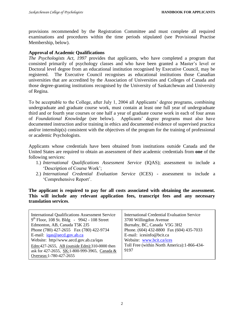provisions recommended by the Registration Committee and must complete all required examinations and procedures within the time periods stipulated (see Provisional Practise Membership, below).

# **Approval of Academic Qualifications**

*The Psychologists Act, 1997* provides that applicants, who have completed a program that consisted primarily of psychology classes and who have been granted a Master's level or Doctoral level degree from an educational institution recognised by Executive Council, may be registered. The Executive Council recognises as educational institutions those Canadian universities that are accredited by the Association of Universities and Colleges of Canada and those degree-granting institutions recognised by the University of Saskatchewan and University of Regina.

To be acceptable to the College, after July 1, 2004 all Applicants' degree programs, combining undergraduate and graduate course work, must contain at least one full year of undergraduate third and or fourth year courses or one half a year of graduate course work in each of four areas of *Foundational Knowledge* (see below). Applicants' degree programs must also have documented instruction and/or training in ethics and documented evidence of supervised practica and/or internship(s) consistent with the objectives of the program for the training of professional or academic Psychologists.

Applicants whose credentials have been obtained from institutions outside Canada and the United States are required to obtain an assessment of their academic credentials from **one** of the following services:

- 1.) *International Qualifications Assessment Service* (IQAS); assessment to include a 'Description of Course Work';
- 2.) *International Credential Evaluation Service* (ICES) assessment to include a 'Comprehensive Report'.

**The applicant is required to pay for all costs associated with obtaining the assessment. This will include any relevant application fees, transcript fees and any necessary translation services**.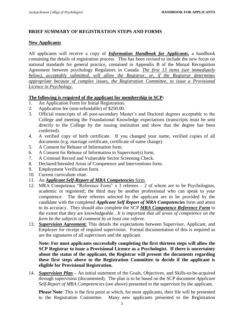#### **BRIEF SUMMARY OF REGISTRATION STEPS AND FORMS**

#### **New Applicants**

All applicants will receive a copy of *Information Handbook for Applicants***,** a handbook containing the details of registration process. This has been revised to include the new focus on national standards for general practice, contained in Appendix B of the Mutual Recognition Agreement between psychology Regulators in Canada. *The first 13 items (see immediately below), acceptably submitted, will allow the Registrar, or, if the Registrar determines appropriate because of complex issues, the Registration Committee, to issue a Provisional Licence in Psychology.*

#### **The following is required of the applicant for membership in SCP:**

- 1. An Application Form for Initial Registration.
- 2. Application fee (non-refundable) of \$250.00.
- 3. Official transcripts of all post-secondary Master's and Doctoral degrees acceptable to the College and meeting the Foundational Knowledge expectations (transcripts must be sent directly to the College by the issuing institution and show that the degree has been conferred).
- 4. A verified copy of birth certificate. If you changed your name, verified copies of all documents (e.g. marriage certificate, certificate of name change).
- 5. A Consent for Release of Information form.
- 6. A Consent for Release of Information to Supervisor(s) form.
- 7. A Criminal Record and Vulnerable Sector Screening Check.
- 8. Declared/Intended Areas of Competence and Interventions form.
- 9. Employment Verification form.
- 10. Current curriculum vitae.
- 11. An *Applicant Self-Report of MRA Competencies* form.
- 12. MRA Competence "Reference Form" x 3 referees 2 of whom are to be Psychologists, academic or registered; the third may be another professional who can speak to your competence. The three referees selected by the applicant are to be provided by the candidate with the completed *Applicant Self Report of MRA Competencies* form and attest to its accuracy. They should also complete the SCP *MRA Competence Reference Form* to the extent that they are knowledgeable. *It is important that all areas of competence on the form be the subjects of comment by at least one referee.*
- 13. *Supervision Agreement:* This details the expectations between Supervisor, Applicant, and Employer for receipt of required supervision. Formal documentation of this is required as are the signatures of all supervisors and the applicant.

**Note: For most applicants successfully completing the first thirteen steps will allow the SCP Registrar to issue a Provisional Licence as a Psychologist. If there is uncertainty about the status of the applicant, the Registrar will present the documents regarding these first steps above to the Registration Committee to decide if the applicant is eligible for Provisional Registration.**

14. *Supervision Plan* **–** An initial statement of the Goals, Objectives, and Skills-to-be-acquired through supervision (documented). The plan is to be based on the SCP document *Applicant Self-Report of MRA Competencies* (see above) presented to the supervisor by the applicant.

**Please Note**: This is the first point at which, for most applicants, their file will be presented to the Registration Committee. Many new applicants presented to the Registration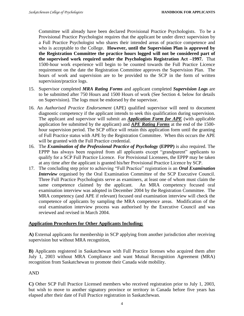Committee will already have been declared Provisional Practice Psychologists. To be a Provisional Practice Psychologist requires that the applicant be under direct supervision by a Full Practice Psychologist who shares their intended areas of practice competence and who is acceptable to the College. **However, until the Supervision Plan is approved by the Registration Committee the practice hours logged will not be considered part of the supervised work required under the Psychologists Registration Act –1997.** That 1500-hour work experience will begin to be counted towards the Full Practice Licence requirement on the date the Registration Committee approves the Supervision Plan. The hours of work and supervision are to be provided to the SCP in the form of written supervision/practice logs.

- 15. Supervisor completed *MRA Rating Forms* and applicant completed *Supervision Logs* are to be submitted after 750 Hours and 1500 Hours of work (See Section 4. below for details on Supervision). The logs must be endorsed by the supervisor.
- 16. An *Authorised Practice Endorsement* (APE) qualified supervisor will need to document diagnostic competency if the applicant intends to seek this qualification during supervision. The applicant and supervisor will submit an *Application Form for APE* (with applicable application fee submitted by the applicant) and *APE Rating Forms* at the end of the 1500 hour supervision period. The SCP office will retain this application form until the granting of Full Practice status with APE by the Registration Committee. When this occurs the APE will be granted with the Full Practice credential.
- 16. The *Examination of the Professional Practice of Psychology* **(EPPP)** is also required. The EPPP has always been required from all applicants except "grandparent" applicants to qualify for a SCP Full Practice Licence. For Provisional Licensees, the EPPP may be taken at any time after the applicant is granted his/her Provisional Practice Licence by SCP.
- 17. The concluding step prior to achieving "Full Practice" registration is an *Oral Examination Interview* organised by the Oral Examination Committee of the SCP Executive Council. Three Full Practice Psychologists serve as examiners, at least one of whom must claim the same competence claimed by the applicant. An MRA competency focused oral examination interview was adopted in December 2004 by the Registration Committee. The MRA competency (and APE if relevant) focused oral examination interview will check the competence of applicants by sampling the MRA competence areas. Modification of the oral examination interview process was authorised by the Executive Council and was reviewed and revised in March 2004.

# **Application Procedures for Other Applicants Including:**

**A)** External applicants for membership in SCP applying from another jurisdiction after receiving supervision but without MRA recognition,

**B)** Applicants registered in Saskatchewan with Full Practice licenses who acquired them after July 1, 2003 without MRA Compliance and want Mutual Recognition Agreement (MRA) recognition from Saskatchewan to promote their Canada wide mobility.

AND

**C)** Other SCP Full Practice Licensed members who received registration prior to July 1, 2003, but wish to move to another signatory province or territory in Canada before five years has elapsed after their date of Full Practice registration in Saskatchewan.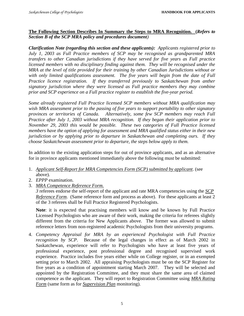#### **The Following Section Describes In Summary the Steps to MRA Recognition. (***Refers to Section B of the SCP MRA policy and procedures document)*

*Clarification Note (regarding this section and these applicants): Applicants registered prior to July 1, 2003 as Full Practice members of SCP may be recognised as grandparented MRA transfers to other Canadian jurisdictions if they have served for five years as Full practice licensed members with no disciplinary finding against them. They will be recognised under the MRA at the level of title provided for their training by other Canadian Jurisdictions without or with only limited qualifications assessment. The five years will begin from the date of Full Practice licence registration. If they transferred previously to Saskatchewan from anther signatory jurisdiction where they were licensed as Full practice members they may combine prior and SCP experience on a Full practice register to establish the five-year period.* 

*Some already registered Full Practice licensed SCP members without MRA qualification may wish MRA assessment prior to the passing of five years to support portability to other signatory provinces or territories of Canada. Alternatively, some few SCP members may reach Full Practice after July 1, 2003 without MRA recognition. If they began their application prior to November 29, 2003 this would be possible. These two categories of Full Practice licensed members have the option of applying for assessment and MRA qualified status either in their new jurisdiction or by applying prior to departure in Saskatchewan and completing ours. If they choose Saskatchewan assessment prior to departure, the steps below apply to them.* 

In addition to the existing application steps for out of province applicants, and as an alternative for in province applicants mentioned immediately above the following must be submitted:

- 1. *Applicant Self-Report for MRA Competencies Form (SCP) submitted by applicant*. (see above).
- 2. *EPPP* examination.
- 3. *MRA Competence Reference Form.*

*3* referees endorse the self-report of the applicant and rate MRA competencies using the *SCP Reference Form*. (Same reference form and process as above). For these applicants at least 2 of the 3 referees shall be Full Practice Registered Psychologists.

**Note**: it is expected that practising members will know and be known by Full Practice Licensed Psychologists who are aware of their work, making the criteria for referees slightly different from the criteria for New Applicants above. The former was allowed to submit reference letters from non-registered academic Psychologists from their university programs.

4. *Competency Appraisal for MRA by an experienced Psychologist with Full Practice recognition by SCP*. Because of the legal changes in effect as of March 2002 in Saskatchewan, experience will refer to Psychologists who have at least five years of professional experience, post professional degree and recognised supervised work experience. Practice includes five years either while on College register, or in an exempted setting prior to March 2002. All appraising Psychologists must be on the SCP Register for five years as a condition of appointment starting March 2007. They will be selected and appointed by the Registration Committee, and they must share the same area of claimed competence as the applicant. They will report to Registration Committee using *MRA Rating Form* (same form as for *Supervision Plan* monitoring).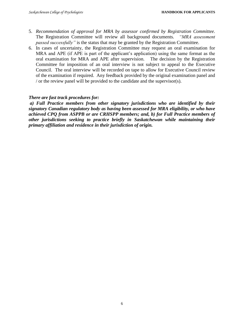- 5. *Recommendation of approval for MRA by assessor confirmed by Registration Committee.* The Registration Committee will review all background documents. *"MRA assessment passed successfully*" is the status that may be granted by the Registration Committee.
- 6. In cases of uncertainty, the Registration Committee may request an oral examination for MRA and APE (if APE is part of the applicant's application) using the same format as the oral examination for MRA and APE after supervision. The decision by the Registration Committee for imposition of an oral interview is not subject to appeal to the Executive Council. The oral interview will be recorded on tape to allow for Executive Council review of the examination if required. Any feedback provided by the original examination panel and / or the review panel will be provided to the candidate and the supervisor(s).

#### *There are fast track procedures for:*

*a) Full Practice members from other signatory jurisdictions who are identified by their signatory Canadian regulatory body as having been assessed for MRA eligibility, or who have achieved CPQ from ASPPB or are CRHSPP members; and, b) for Full Practice members of other jurisdictions seeking to practice briefly in Saskatchewan while maintaining their primary affiliation and residence in their jurisdiction of origin.*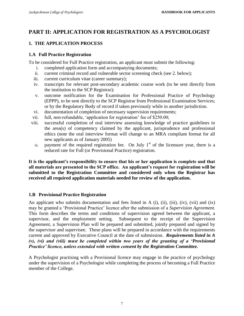# **PART II: APPLICATION FOR REGISTRATION AS A PSYCHOLOGIST**

# **1. THE APPLICATION PROCESS**

#### **1.A Full Practice Registration**

To be considered for Full Practice registration, an applicant must submit the following:

- i. completed application form and accompanying documents;
- ii. current criminal record and vulnerable sector screening check (see 2. below);
- iii. current curriculum vitae (career summary);
- iv. transcripts for relevant post-secondary academic course work (to be sent directly from the institution to the SCP Registrar);
- v. outcome notification for the Examination for Professional Practice of Psychology (EPPP), to be sent directly to the SCP Registrar from Professional Examination Services; or by the Regulatory Body of record if taken previously while in another jurisdiction.
- vi. documentation of completion of necessary supervision requirements;
- vii. full, non-refundable, 'application for registration' fee of \$250.00;
- viii. successful completion of oral interview assessing knowledge of practice guidelines in the area(s) of competency claimed by the applicant, jurisprudence and professional ethics (note the oral interview format will change to an MRA compliant format for all new applicants as of January 2005)
	- ix. payment of the required registration fee. On July  $1<sup>st</sup>$  of the licensure year, there is a reduced rate for Full (or Provisional Practice) registration.

**It is the applicant's responsibility to ensure that his or her application is complete and that all materials are presented to the SCP office. An applicant's request for registration will be submitted to the Registration Committee and considered only when the Registrar has received all required application materials needed for review of the application.**

# **1.B Provisional Practice Registration**

An applicant who submits documentation and fees listed in A (i), (ii), (iii), (iv), (vii) and (ix) may be granted a 'Provisional Practice' licence after the submission of a *Supervision Agreement.*  This form describes the terms and conditions of supervision agreed between the applicant, a supervisor, and the employment setting. Subsequent to the receipt of the Supervision Agreement, a Supervision Plan will be prepared and submitted, jointly prepared and signed by the supervisor and supervisee. These plans will be prepared in accordance with the requirements current and approved by Executive Council at the date of submission. *Requirements listed in A (v), (vi) and (viii) must be completed within two years of the granting of a 'Provisional Practice' licence, unless extended with written consent by the Registration Committee.*

A Psychologist practising with a Provisional licence may engage in the practice of psychology under the supervision of a Psychologist while completing the process of becoming a Full Practice member of the College.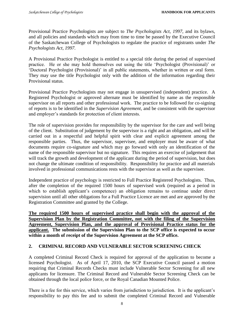Provisional Practice Psychologists are subject to *The Psychologists Act, 1997*, and its bylaws, and all policies and standards which may from time to time be passed by the Executive Council of the Saskatchewan College of Psychologists to regulate the practice of registrants under *The Psychologists Act, 1997.*

A Provisional Practice Psychologist is entitled to a special title during the period of supervised practice. He or she may hold themselves out using the title 'Psychologist (Provisional)' or 'Doctoral Psychologist (Provisional)' in all public statements, whether in written or oral form. They may use the title Psychologist only with the addition of the information regarding their Provisional status.

Provisional Practice Psychologists may not engage in unsupervised (independent) practice. A Registered Psychologist or approved alternate must be identified by name as the responsible supervisor on all reports and other professional work. The practice to be followed for co-signing of reports is to be identified in the *Supervision Agreement*, and be consistent with the supervisor and employer's standards for protection of client interests.

The role of supervision provides for responsibility by the supervisor for the care and well being of the client. Substitution of judgement by the supervisor is a right and an obligation, and will be carried out in a respectful and helpful spirit with clear and explicit agreement among the responsible parties. Thus, the supervisor, supervisee, and employer must be aware of what documents require co-signature and which may go forward with only an identification of the name of the responsible supervisor but no signature. This requires an exercise of judgement that will track the growth and development of the applicant during the period of supervision, but does not change the ultimate condition of responsibility. Responsibility for practice and all materials involved in professional communications rests with the supervisor as well as the supervisee.

Independent practice of psychology is restricted to Full Practice Registered Psychologists. Thus, after the completion of the required 1500 hours of supervised work (required as a period in which to establish applicant's competence) an obligation remains to continue under direct supervision until all other obligations for a Full Practice Licence are met and are approved by the Registration Committee and granted by the College.

**The required 1500 hours of supervised practice shall begin with the approval of the Supervision Plan by the Registration Committee, not with the filing of the Supervision Agreement, Supervision Plan, and the approval of Provisional Practice status for the applicant. The submission of the Supervision Plan to the SCP office is expected to occur within a month of receipt of the Supervision Agreement at the SCP office.**

# **2. CRIMINAL RECORD AND VULNERABLE SECTOR SCREENING CHECK**

A completed Criminal Record Check is required for approval of the application to become a licensed Psychologist. As of April 17, 2010, the SCP Executive Council passed a motion requiring that Criminal Records Checks must include Vulnerable Sector Screening for all new applicants for licensure. The Criminal Record and Vulnerable Sector Screening Check can be obtained through the local police force, or the Royal Canadian Mounted Police.

There is a fee for this service, which varies from jurisdiction to jurisdiction. It is the applicant's responsibility to pay this fee and to submit the completed Criminal Record and Vulnerable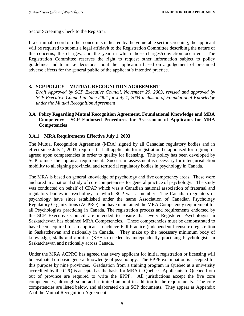Sector Screening Check to the Registrar.

If a criminal record or other concern is indicated by the vulnerable sector screening, the applicant will be required to submit a legal affidavit to the Registration Committee describing the nature of the concerns, the charges, and the year in which those charges/conviction occurred. The Registration Committee reserves the right to request other information subject to policy guidelines and to make decisions about the application based on a judgement of presumed adverse effects for the general public of the applicant's intended practice.

# **3. SCP POLICY – MUTUAL RECOGNITION AGREEMENT**

*Draft Approved by SCP Executive Council, November 29, 2003, revised and approved by SCP Executive Council in June 2004 for July 1, 2004 inclusion of Foundational Knowledge under the Mutual Recognition Agreement* 

#### **3.A Policy Regarding Mutual Recognition Agreement, Foundational Knowledge and MRA Competency - SCP Endorsed Procedures for Assessment of Applicants for MRA Competencies**

#### **3.A.1 MRA Requirements Effective July 1, 2003**

The Mutual Recognition Agreement (MRA) signed by all Canadian regulatory bodies and in effect since July 1, 2003, requires that all applicants for registration be appraised for a group of agreed upon competencies in order to qualify for licensing. This policy has been developed by SCP to meet the appraisal requirement. Successful assessment is necessary for inter-jurisdiction mobility to all signing provincial and territorial regulatory bodies in psychology in Canada.

The MRA is based on general knowledge of psychology and five competency areas. These were anchored in a national study of core competencies for general practice of psychology. The study was conducted on behalf of CPAP which was a Canadian national association of fraternal and regulatory bodies in psychology, of which SCP was a member. The Canadian regulators of psychology have since established under the name Association of Canadian Psychology Regulatory Organizations (ACPRO) and have maintained the MRA Competency requirement for all Psychologists practicing in Canada. The registration process and requirements endorsed by the SCP Executive Council are intended to ensure that every Registered Psychologist in Saskatchewan has obtained MRA Competencies. These competencies must be demonstrated to have been acquired for an applicant to achieve Full Practice (independent licensure) registration<br>in Saskatchewan and nationally in Canada. They make up the necessary minimum body of They make up the necessary minimum body of knowledge, skills and abilities (KSA's) needed by independently practising Psychologists in Saskatchewan and nationally across Canada.

Under the MRA ACPRO has agreed that every applicant for initial registration or licensing will be evaluated on basic general knowledge of psychology. The EPPP examination is accepted for this purpose by nine provinces. Graduation from a training program in Quebec at a university accredited by the CPQ is accepted as the basis for MRA in Quebec. Applicants to Quebec from out of province are required to write the EPPP. All jurisdictions accept the five core competencies, although some add a limited amount in addition to the requirements. The core competencies are listed below, and elaborated on in SCP documents. They appear as Appendix A of the Mutual Recognition Agreement.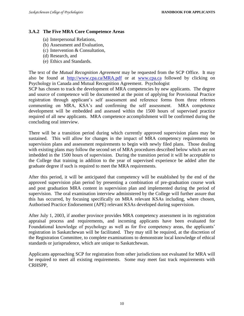#### **3.A.2 The Five MRA Core Competence Areas**

- (a) Interpersonal Relations,
- (b) Assessment and Evaluation,
- (c) Intervention & Consultation,
- (d) Research, and
- (e) Ethics and Standards.

The text of the *Mutual Recognition Agreement* may be requested from the SCP Office. It may also be found at <http://www.cpa.ca/MRA.pdf> or at [www.cpa.ca](http://www.cpa.ca/) followed by clicking on Psychology in Canada and Mutual Recognition Agreement. Psychologist

SCP has chosen to track the development of MRA competencies by new applicants. The degree and source of competence will be documented at the point of applying for Provisional Practice registration through applicant's self assessment and reference forms from three referees commenting on MRA, KSA's and confirming the self assessment. MRA competence development will be embedded and assessed within the 1500 hours of supervised practice required of all new applicants. MRA competence accomplishment will be confirmed during the concluding oral interview.

There will be a transition period during which currently approved supervision plans may be sustained. This will allow for changes in the impact of MRA competency requirements on supervision plans and assessment requirements to begin with newly filed plans. Those dealing with existing plans may follow the second set of MRA procedures described below which are not imbedded in the 1500 hours of supervision. During the transition period it will be acceptable to the College that training in addition to the year of supervised experience be added after the graduate degree if such is required to meet the MRA requirements.

After this period, it will be anticipated that competency will be established by the end of the approved supervision plan period by presenting a combination of pre-graduation course work and post graduation MRA content in supervision plan and implemented during the period of supervision. The oral examination interview administered by the College will further assure that this has occurred, by focusing specifically on MRA relevant KSAs including, where chosen, Authorised Practice Endorsement (APE) relevant KSAs developed during supervision.

After July 1, 2003, if another province provides MRA competency assessment in its registration appraisal process and requirements, and incoming applicants have been evaluated for Foundational knowledge of psychology as well as for five competency areas, the applicants' registration in Saskatchewan will be facilitated. They may still be required, at the discretion of the Registration Committee, to complete examinations to demonstrate local knowledge of ethical standards or jurisprudence, which are unique to Saskatchewan.

Applicants approaching SCP for registration from other jurisdictions not evaluated for MRA will be required to meet all existing requirements. Some may meet fast track requirements with CRHSPP,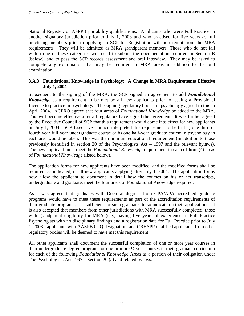National Register, or ASPPB portability qualifications. Applicants who were Full Practice in another signatory jurisdiction prior to July 1, 2003 and who practised for five years as full practising members prior to applying to SCP for Registration will be exempt from the MRA requirements. They will be admitted as MRA grandparent members. Those who do not fall within one of these categories will need to submit the documentation required in Section B (below), and to pass the SCP records assessment and oral interview. They may be asked to complete any examination that may be required in MRA areas in addition to the oral examination.

# **3.A.3 Foundational Knowledge in Psychology: A Change in MRA Requirements Effective July 1, 2004**

Subsequent to the signing of the MRA, the SCP signed an agreement to add *Foundational Knowledge* as a requirement to be met by all new applicants prior to issuing a Provisional Licence to practice in psychology. The signing regulatory bodies in psychology agreed to this in April 2004. ACPRO agreed that four areas of *Foundational Knowledge* be added to the MRA. This will become effective after all regulators have signed the agreement. It was further agreed by the Executive Council of SCP that this requirement would come into effect for new applicants on July 1, 2004. SCP Executive Council interpreted this requirement to be that a) one third or fourth year full year undergraduate course or b) one half-year graduate course in psychology in each area would be taken. This was the minimum educational requirement (in addition to those previously identified in section 20 of the Psychologists Act – 1997 and the relevant bylaws). The new applicant must meet the *Foundational Knowledge* requirement in each of **four** (4) areas of *Foundational Knowledge* (listed below).

The application forms for new applicants have been modified, and the modified forms shall be required, as indicated, of all new applicants applying after July 1, 2004. The application forms now allow the applicant to document in detail how the courses on his or her transcripts, undergraduate and graduate, meet the four areas of Foundational Knowledge required.

As it was agreed that graduates with Doctoral degrees from CPA/APA accredited graduate programs would have to meet these requirements as part of the accreditation requirements of their graduate programs; it is sufficient for such graduates to so indicate on their applications. It is also accepted that members from other jurisdictions with MRA successfully completed, those with grandparent eligibility for MRA (e.g., having five years of experience as Full Practice Psychologists with no disciplinary findings and a registration date for Full Practice prior to July 1, 2003), applicants with AASPB CPQ designation, and CRHSPP qualified applicants from other regulatory bodies will be deemed to have met this requirement.

All other applicants shall document the successful completion of one or more year courses in their undergraduate degree programs or one or more ½ year courses in their graduate curriculum for each of the following *Foundational Knowledge* Areas as a portion of their obligation under The Psychologists Act 1997 – Section 20 (a) and related bylaws.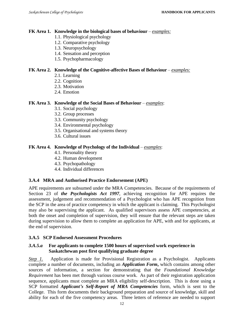#### **FK Area 1. Knowledge in the biological bases of behaviour** – *examples:*

- 1.1. Physiological psychology
- 1.2. Comparative psychology
- 1.3. Neuropsychology
- 1.4. Sensation and perception
- 1.5. Psychopharmacology

#### **FK Area 2. Knowledge of the Cognitive-affective Bases of Behaviour** – *examples:*

- 2.1. Learning
- 2.2. Cognition
- 2.3. Motivation
- 2.4. Emotion

#### **FK Area 3. Knowledge of the Social Bases of Behaviour** – *examples*:

- 3.1. Social psychology
- 3.2. Group processes
- 3.3. Community psychology
- 3.4. Environmental psychology
- 3.5. Organisational and systems theory
- 3.6. Cultural issues

#### **FK Area 4. Knowledge of Psychology of the Individual** – *examples*:

- 4.1. Personality theory
- 4.2. Human development
- 4.3. Psychopathology
- 4.4. Individual differences

#### **3.A.4 MRA and Authorised Practice Endorsement (APE)**

APE requirements are subsumed under the MRA Competencies. Because of the requirements of Section 23 of *the Psychologists Act 1997*, achieving recognition for APE requires the assessment, judgement and recommendation of a Psychologist who has APE recognition from the SCP in the area of practice competency in which the applicant is claiming. This Psychologist may also be supervising the applicant. As qualified supervisors assess APE competencies, at both the onset and completion of supervision, they will ensure that the relevant steps are taken during supervision to allow them to complete an application for APE, with and for applicants, at the end of supervision.

#### **3.A.5 SCP Endorsed Assessment Procedures**

#### *3.A.5.a* **For applicants to complete 1500 hours of supervised work experience in Saskatchewan post first qualifying graduate degree**

**Step 1.** Application is made for Provisional Registration as a Psychologist. Applicants complete a number of documents, including an *Application Form***,** which contains among other sources of information, a section for demonstrating that the *Foundational Knowledge Requirement* has been met through various course work. As part of their registration application sequence, applicants must complete an MRA eligibility self-description. This is done using a SCP formatted *Applicant's Self-Report of MRA Competencies* form, which is sent to the College. This form documents their background preparation and source of knowledge, skill and ability for each of the five competency areas. Three letters of reference are needed to support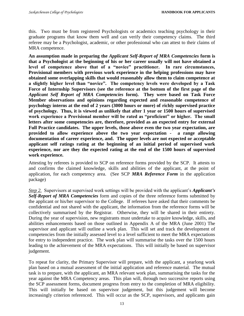this. Two must be from registered Psychologists or academics teaching psychology in their graduate programs that know them well and can verify their competency claims. The third referee may be a Psychologist, academic, or other professional who can attest to their claims of MRA competence.

**An assumption made in preparing the** *Applicant Self-Report of MRA Competencies* **form is that a Psychologist at the beginning of his or her career usually will not have obtained a level of competence above that of a "novice" practitioner. In rare circumstances, Provisional members with previous work experience in the helping professions may have obtained some overlapping skills that would reasonably allow them to claim competence at a slightly higher level than "novice". The competency levels were developed by a Task Force of Internship Supervisors (see the reference at the bottom of the first page of the**  *Applicant Self Report of MRA Competencies* **form). They were based on Task Force Member observations and opinions regarding expected and reasonable competence of psychology interns at the end of 2 years (3000 hours or more) of richly supervised practice of psychology. Thus, it is viewed as unlikely that after 1 year or 1500 hours of supervised work experience a Provisional member will be rated as "proficient" or higher. The small**  letters after some competencies are, therefore, provided as an expected entry for external **Full Practice candidates. The upper levels, those above even the two year expectation, are provided to allow experience above the two year expectation - a range allowing documentation of career experience, and. The upper levels are not expected or acceptable applicant self ratings rating at the beginning of an initial period of supervised work experience, nor are they the expected rating at the end of the 1500 hours of supervised work experience.** 

Attesting by referees is provided to SCP on reference forms provided by the SCP. It attests to and confirms the claimed knowledge, skills and abilities of the applicant, at the point of application, for each competency area. (See SCP *MRA Reference Form* in the application package)

*Step 2.* Supervisors at supervised work settings will be provided with the applicant's *Applicant's Self-Report of MRA Competencies* form and copies of the three reference forms submitted by the applicant or his/her supervisor to the College. If referees have asked that their comments be confidential and not shared with the applicant, the information from the reference forms will be collectively summarised by the Registrar. Otherwise, they will be shared in their entirety. During the year of supervision, new registrants must undertake to acquire knowledge, skills, and abilities enhancements based on those outlined in Appendix A of the MRA (June 2001) The supervisor and applicant will outline a work plan. This will set and track the development of competencies from the initially assessed level to a level sufficient to meet the MRA expectations for entry to independent practice. The work plan will summarise the tasks over the 1500 hours leading to the achievement of the MRA expectations. This will initially be based on supervisor judgement.

To repeat for clarity, the Primary Supervisor will prepare, with the applicant, a yearlong work plan based on a mutual assessment of the initial application and reference material. The mutual task is to prepare, with the applicant, an MRA relevant work plan, summarising the tasks for the year against the MRA Competency areas. This plan will, through two successive reports using the SCP assessment forms, document progress from entry to the completion of MRA eligibility. This will initially be based on supervisor judgement, but this judgement will become increasingly criterion referenced. This will occur as the SCP, supervisors, and applicants gain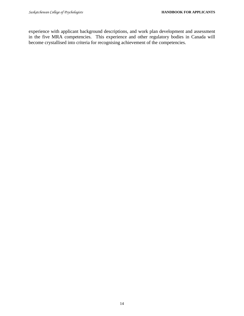experience with applicant background descriptions, and work plan development and assessment in the five MRA competencies. This experience and other regulatory bodies in Canada will become crystallised into criteria for recognising achievement of the competencies.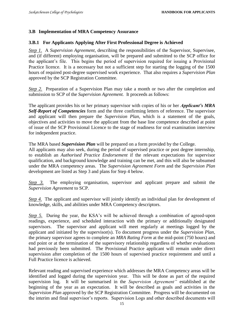#### **3.B Implementation of MRA Competency Assurance**

#### **3.B.1 For Applicants Applying After First Professional Degree is Achieved**

*Step 1.* A *Supervision Agreement*, describing the responsibilities of the Supervisor, Supervisee, and (if different) employing organisation, will be prepared and submitted to the SCP office for the applicant's file. This begins the period of supervision required for issuing a Provisional Practice licence. It is a necessary but not a sufficient step for starting the logging of the 1500 hours of required post-degree supervised work experience. That also requires a *Supervision Plan*  approved by the SCP Registration Committee.

*Step 2.* Preparation of a Supervision Plan may take a month or two after the completion and submission to SCP of the *Supervision Agreement.* It proceeds as follows:

The applicant provides his or her primary supervisor with copies of his or her *Applicant's MRA Self-Report of Competencies* form and the three confirming letters of reference. The supervisor and applicant will then prepare the *Supervision Plan*, which is a statement of the goals, objectives and activities to move the applicant from the base line competence described at point of issue of the SCP Provisional Licence to the stage of readiness for oral examination interview for independent practice.

The MRA based *Supervision Plan* will be prepared on a form provided by the College.

All applicants may also seek, during the period of supervised practice or post degree internship, to establish an *Authorised Practice Endorsement* if the relevant expectations for supervisor qualification, and background knowledge and training can be met, and this will also be subsumed under the MRA competency areas. The *Supervision Agreement Form* and the *Supervision Plan* development are listed as Step 3 and plans for Step 4 below.

*Step 3.* The employing organisation, supervisor and applicant prepare and submit the *Supervision Agreement* to SCP.

*Step 4.* The applicant and supervisor will jointly identify an individual plan for development of knowledge, skills, and abilities under MRA Competency descriptors.

*Step 5.* During the year, the KSA's will be achieved through a combination of agreed-upon readings, experience, and scheduled interaction with the primary or additionally designated supervisors. The supervisor and applicant will meet regularly at meetings logged by the applicant and initiated by the supervisor(s). To document progress under the *Supervision Plan,* the primary supervisor agrees to complete an *MRA Rating Form* at the mid-point (750 hours) and end point or at the termination of the supervisory relationship regardless of whether evaluations had previously been submitted. The Provisional Practice applicant will remain under direct supervision after completion of the 1500 hours of supervised practice requirement and until a Full Practice licence is achieved.

Relevant reading and supervised experience which addresses the MRA Competency areas will be identified and logged during the supervision year. This will be done as part of the required supervision log. It will be summarised in the *Supervision Agreement"* established at the beginning of the year as an expectation. It will be described as goals and activities in the *Supervision Plan* approved by the SCP Registration Committee. Progress will be documented on the interim and final supervisor's reports. Supervision Logs and other described documents will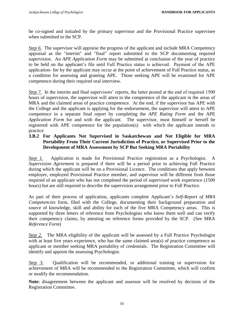be co-signed and initialed by the primary supervisor and the Provisional Practice supervisee when submitted to the SCP.

*Step 6.* The supervisor will appraise the progress of the applicant and include MRA Competency appraisal as the "interim" and "final" report submitted to the SCP documenting required supervision. An *APE Application Form* may be submitted at conclusion of the year of practice to be held on the applicant's file until Full Practice status is achieved. Payment of the APE application- fee by the applicant may occur at the point of achievement of Full Practice status, as a condition for assessing and granting APE. Those seeking APE will be examined for APE competence during their required oral interview.

*Step 7.* In the interim and final supervisors' reports, the latter posted at the end of required 1500 hours of supervision, the supervisor will attest to the competence of the applicant in the areas of MRA and the claimed areas of practice competence. At the end, if the supervisor has APE with the College and the applicant is applying for the endorsement, the supervisor will attest to APE competence in a separate final report by completing the *APE Rating Form* and the APE *Application Form* for and with the applicant. The supervisor, must himself or herself be registered with APE competence for the population(s) with which the applicant intends to practice

# **3.B.2 For Applicants Not Supervised in Saskatchewan and Not Eligible for MRA Portability From Their Current Jurisdiction of Practice, or Supervised Prior to the Development of MRA Assessment by SCP But Seeking MRA Portability**

*Step 1.* Application is made for Provisional Practice registration as a Psychologist. A *Supervision Agreement* is prepared if there will be a period prior to achieving Full Practice during which the applicant will be on a Provisional Licence. The conditions that apply between employer, employed Provisional Practice member, and supervisor will be different from those required of an applicant who has not completed the period of supervised work experience (1500 hours) but are still required to describe the supervision arrangement prior to Full Practice.

As part of their process of application, applicants complete Applicant's *Self-Report of MRA Competencies* form, filed with the College, documenting their background preparation and source of knowledge, skill and ability for each of the five MRA Competency areas. This is supported by three letters of reference from Psychologists who know them well and can verify their competency claims, by attesting on reference forms provided by the SCP. (See MRA *Reference Form*)

*Step 2.* The MRA eligibility of the applicant will be assessed by a Full Practice Psychologist with at least five years experience, who has the same claimed area(s) of practice competence as applicant or member seeking MRA portability of credentials. The Registration Committee will identify and appoint the assessing Psychologist.

*Step 3.* Qualification will be recommended, or additional training or supervision for achievement of MRA will be recommended to the Registration Committee, which will confirm or modify the recommendation.

**Note:** disagreement between the applicant and assessor will be resolved by decision of the Registration Committee.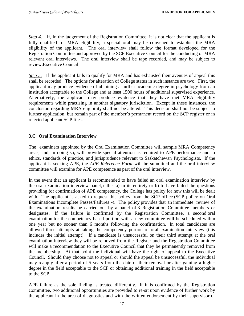*Step 4.* If, in the judgement of the Registration Committee, it is not clear that the applicant is fully qualified for MRA eligibility, a special oral may be convened to establish the MRA eligibility of the applicant. The oral interview shall follow the format developed for the Registration Committee and approved by the SCP Executive Council for the conducting of MRA relevant oral interviews. The oral interview shall be tape recorded, and may be subject to review.Executive Council.

*Step 5.* If the applicant fails to qualify for MRA and has exhausted their avenues of appeal this shall be recorded. The options for alteration of College status in such instance are two. First, the applicant may produce evidence of obtaining a further academic degree in psychology from an institution acceptable to the College and at least 1500 hours of additional supervised experience. Alternatively, the applicant may produce evidence that they have met MRA eligibility requirements while practising in another signatory jurisdiction. Except in these instances, the conclusion regarding MRA eligibility shall not be altered. This decision shall not be subject to further application, but remain part of the member's permanent record on the SCP register or in rejected applicant SCP files.

# **3.C Oral Examination Interview**

The examiners appointed by the Oral Examination Committee will sample MRA Competency areas, and, in doing so, will provide special attention as required to APE performance and to ethics, standards of practice, and jurisprudence relevant to Saskatchewan Psychologists. If the applicant is seeking APE, the *APE Reference Form* will be submitted and the oral interview committee will examine for APE competence as part of the oral interview.

In the event that an applicant is recommended to have failed an oral examination interview by the oral examination interview panel, either a) in its entirety or b) to have failed the questions providing for confirmation of APE competency, the College has policy for how this will be dealt with. The applicant is asked to request this policy from the SCP office (SCP policy on Oral Examinations Incomplete Passes/Failures -). The policy provides that an immediate review of the examination results be carried out by a panel of 3 Registration Committee members or designates. If the failure is confirmed by the Registration Committee, a second oral examination for the competency based portion with a new committee will be scheduled within one year but no sooner than 6 months following the confirmation. In total candidates are allowed three attempts at taking the competency portion of oral examination interview (this includes the initial attempt). If a candidate is unsuccessful on their third attempt at the oral examination interview they will be removed from the Register and the Registration Committee will make a recommendation to the Executive Council that they be permanently removed from the membership. At that point the individual will have the right of appeal to the Executive Council. Should they choose not to appeal or should the appeal be unsuccessful, the individual may reapply after a period of 5 years from the date of their removal or after gaining a higher degree in the field acceptable to the SCP or obtaining additional training in the field acceptable to the SCP.

APE failure as the sole finding is treated differently. If it is confirmed by the Registration Committee, two additional opportunities are provided to re-sit upon evidence of further work by the applicant in the area of diagnostics and with the written endorsement by their supervisor of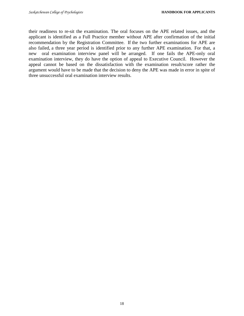their readiness to re-sit the examination. The oral focuses on the APE related issues, and the applicant is identified as a Full Practice member without APE after confirmation of the initial recommendation by the Registration Committee. If the two further examinations for APE are also failed, a three year period is identified prior to any further APE examination. For that, a new oral examination interview panel will be arranged. If one fails the APE-only oral examination interview, they do have the option of appeal to Executive Council. However the appeal cannot be based on the dissatisfaction with the examination result/score rather the argument would have to be made that the decision to deny the APE was made in error in spite of three unsuccessful oral examination interview results.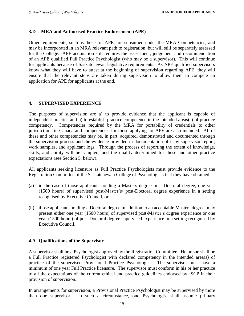#### **3.D MRA and Authorised Practice Endorsement (APE)**

Other requirements, such as those for APE, are subsumed under the MRA Competencies, and may be incorporated in an MRA relevant path to registration, but will still be separately assessed for the College. APE acquisition still requires the assessment, judgement and recommendation of an APE qualified Full Practice Psychologist (who may be a supervisor). This will continue for applicants because of Saskatchewan legislative requirements. As APE qualified supervisors know what they will have to attest at the beginning of supervision regarding APE, they will ensure that the relevant steps are taken during supervision to allow them to compete an application for APE for applicants at the end.

#### **4. SUPERVISED EXPERIENCE**

The purposes of supervision are a) to provide evidence that the applicant is capable of independent practice and b) to establish practice competence in the intended areas(s) of practice competency. Competencies required by the MRA for portability of credentials to other jurisdictions in Canada and competencies for those applying for APE are also included. All of these and other competencies may be, in part, acquired, demonstrated and documented through the supervision process and the evidence provided in documentation of it by supervisor report, work samples, and applicant logs. Through the process of reporting the extent of knowledge, skills, and ability will be sampled, and the quality determined for these and other practice expectations (see Section 5. below).

All applicants seeking licensure as Full Practice Psychologists must provide evidence to the Registration Committee of the Saskatchewan College of Psychologists that they have obtained:

- (a) in the case of those applicants holding a Masters degree or a Doctoral degree, one year (1500 hours) of supervised post-Master's/ post-Doctoral degree experience in a setting recognised by Executive Council, or
- (b) those applicants holding a Doctoral degree in addition to an acceptable Masters degree, may present either one year (1500 hours) of supervised post-Master's degree experience or one year (1500 hours) of post-Doctoral degree supervised experience in a setting recognised by Executive Council.

#### **4.A Qualifications of the Supervisor**

A supervisor shall be a Psychologist approved by the Registration Committee. He or she shall be a Full Practice registered Psychologist with declared competency in the intended area(s) of practice of the supervised Provisional Practice Psychologist. The supervisor must have a minimum of one year Full Practice licensure. The supervisor must conform in his or her practice to all the expectations of the current ethical and practice guidelines endorsed by SCP in their provision of supervision.

In arrangements for supervision, a Provisional Practice Psychologist may be supervised by more than one supervisor. In such a circumstance, one Psychologist shall assume primary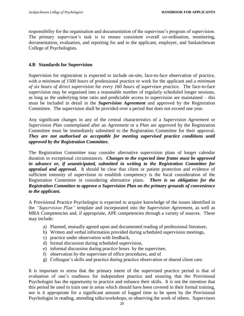responsibility for the organisation and documentation of the supervisee's program of supervision. The primary supervisor's task is to ensure consistent overall co-ordination, monitoring, documentation, evaluation, and reporting for and to the applicant, employer, and Saskatchewan College of Psychologists.

#### **4.B Standards for Supervision**

Supervision for registration is expected to include on-site, face-to-face observation of practice, with *a minimum of 1500 hours* of professional practice or work for the applicant and a *minimum of six hours of direct supervision* for *every 160 hours of supervisee practice*. The face-to-face supervision may be organised into a reasonable number of regularly scheduled longer sessions, as long as the underlying time ratio and predictable access to supervision are maintained – this must be included in detail in the *Supervision Agreement* and approved by the Registration Committee. The supervision shall be provided over a period that does not exceed one year.

Any significant changes in any of the central characteristics of a *Supervision Agreement* or *Supervision Plan* contemplated after an *Agreement* or a *Plan* are approved by the Registration Committee must be immediately submitted to the Registration Committee for their approval. *They are not authorised as acceptable for meeting supervised practice conditions until approved by the Registration Committee.* 

The Registration Committee may consider alternative supervision plans of longer calendar duration in exceptional circumstances. *Changes to the expected time frame must be approved in advance or, if unanticipated, submitted in writing to the Registration Committee for appraisal and approval***.** It should be clear that client or patient protection and evidence of sufficient intensity of supervision to establish competency is the focal consideration of the Registration Committee in considering alternative plans. *There is no obligation for the Registration Committee to approve a Supervision Plan on the primary grounds of convenience to the applicant.*

A Provisional Practice Psychologist is expected to acquire knowledge of the issues identified in the *"Supervision Plan"* template and incorporated into the *Supervision Agreement*, as well as MRA Competencies and, if appropriate, APE competencies through a variety of sources. These may include:

- a) Planned, mutually agreed upon and documented reading of professional literature,
- b) Written and verbal information provided during scheduled supervision meetings,
- c) practice under observation with feedback,
- d) formal discussion during scheduled supervision,
- e) informal discussion during practice hours by the supervisee,
- f) observation by the supervisee of office procedures, and of
- g) Colleague's skills and practice during practice observation or shared client care.

It is important to stress that the primary intent of the supervised practice period is that of evaluation of one's readiness for independent practice and ensuring that the Provisional Psychologist has the opportunity to practice and enhance their skills. It is not the intention that this period be used to train one in areas which should have been covered in their formal training, nor is it appropriate for a significant amount of logged time to be spent by the Provisional Psychologist in reading, attending talks/workshops, or observing the work of others. Supervisors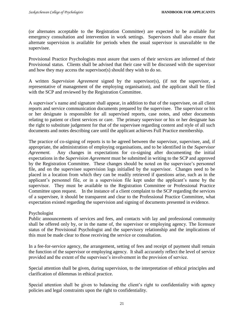(or alternates acceptable to the Registration Committee) are expected to be available for emergency consultation and intervention in work settings. Supervisors shall also ensure that alternate supervision is available for periods when the usual supervisor is unavailable to the supervisee.

Provisional Practice Psychologists must assure that users of their services are informed of their Provisional status. Clients shall be advised that their case will be discussed with the supervisor and how they may access the supervisor(s) should they wish to do so.

A written *Supervision Agreement* signed by the supervisor(s), (if not the supervisor, a representative of management of the employing organisation), and the applicant shall be filed with the SCP and reviewed by the Registration Committee.

A supervisor's name and signature shall appear, in addition to that of the supervisee, on all client reports and service communication documents prepared by the supervisee. The supervisor or his or her designate is responsible for all supervised reports, case notes, and other documents relating to patient or client services or care. The primary supervisor or his or her designate has the right to substitute judgement for that of the supervisee regarding content and style of all such documents and notes describing care until the applicant achieves Full Practice membership.

The practice of co-signing of reports is to be agreed between the supervisor, supervisee, and, if appropriate, the administration of employing organisations, and to be identified in the *Supervisor Agreement.* Any changes in expectations for co-signing after documenting the initial expectations in the *Supervision Agreement* must be submitted in writing to the SCP and approved by the Registration Committee. These changes should be noted on the supervisee's personnel file, and on the supervisee supervision logs initialled by the supervisor. Changes need to be placed in a location from which they can be readily retrieved if questions arise, such as in the applicant's personnel file, or in a supervision file kept under the applicant's name by the supervisor. They must be available to the Registration Committee or Professional Practice Committee upon request. In the instance of a client complaint to the SCP regarding the services of a supervisee, it should be transparent and clear to the Professional Practice Committee, what expectation existed regarding the supervision and signing of documents presented in evidence.

# Psychologist

Public announcements of services and fees, and contacts with lay and professional community shall be offered only by, or in the name of, the supervisor or employing agency. The licensure status of the Provisional Psychologist and the supervisory relationship and the implications of this must be made clear to those receiving the service or consultation.

In a fee-for-service agency, the arrangement, setting of fees and receipt of payment shall remain the function of the supervisor or employing agency. It shall accurately reflect the level of service provided and the extent of the supervisee's involvement in the provision of service.

Special attention shall be given, during supervision, to the interpretation of ethical principles and clarification of dilemmas in ethical practice.

Special attention shall be given to balancing the client's right to confidentiality with agency policies and legal constraints upon the right to confidentiality.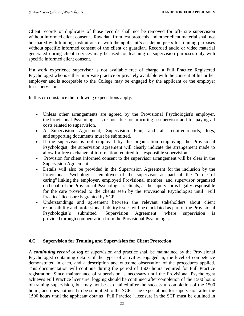Client records or duplicates of those records shall not be removed for off- site supervision without informed client consent. Raw data from test protocols and other client material shall not be shared with training institutions or with the applicant's academic peers for training purposes without specific informed consent of the client or guardian. Recorded audio or video material generated during client services may be used for teaching or supervision purposes only with specific informed client consent.

If a work experience supervisor is not available free of charge, a Full Practice Registered Psychologist who is either in private practice or privately available with the consent of his or her employer and is acceptable to the College may be engaged by the applicant or the employer for supervision.

In this circumstance the following expectations apply:

- Unless other arrangements are agreed by the Provisional Psychologist's employer, the Provisional Psychologist is responsible for procuring a supervisor and for paying all costs related to supervision.
- A Supervision Agreement, Supervision Plan, and all required reports, logs, and supporting documents must be submitted.
- If the supervisor is not employed by the organisation employing the Provisional Psychologist, the supervision agreement will clearly indicate the arrangement made to allow for free exchange of information required for responsible supervision.
- Provision for client informed consent to the supervisor arrangement will be clear in the Supervision Agreement.
- Details will also be provided in the Supervision Agreement for the inclusion by the Provisional Psychologist's employer of the supervisor as part of the "circle of caring" linking the employer, employed Provisional member, and supervisor organised on behalf of the Provisional Psychologist's clients, as the supervisor is legally responsible for the care provided to the clients seen by the Provisional Psychologist until "Full Practice" licensure is granted by SCP.
- Understandings and agreement between the relevant stakeholders about client responsibility and professional liability issues will be elucidated as part of the Provisional Psychologist's submitted "Supervision Agreement: where supervision is provided through compensation from the Provisional Psychologist.

# **4.C Supervision for Training and Supervision for Client Protection**

A *continuing record* or *log* of supervision and practice shall be maintained by the Provisional Psychologist containing details of the types of activities engaged in, the level of competence demonstrated in each, and a description and outcome observation of the procedures applied. This documentation will continue during the period of 1500 hours required for Full Practice registration. Since maintenance of supervision is necessary until the Provisional Psychologist achieves Full Practice licensure, logging should be continued after completion of the 1500 hours of training supervision, but may not be as detailed after the successful completion of the 1500 hours, and does not need to be submitted to the SCP. The expectations for supervision after the 1500 hours until the applicant obtains "Full Practice" licensure in the SCP must be outlined in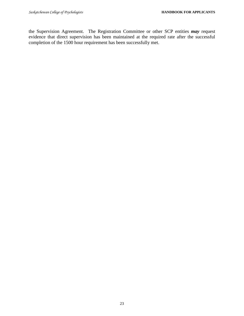the Supervision Agreement. The Registration Committee or other SCP entities *may* request evidence that direct supervision has been maintained at the required rate after the successful completion of the 1500 hour requirement has been successfully met.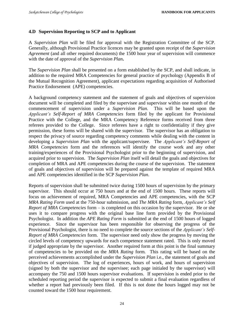#### **4.D Supervision Reporting to SCP and to Applicant**

A *Supervision Plan* will be filed for approval with the Registration Committee of the SCP. Generally, although Provisional Practice licences may be granted upon receipt of the *Supervision Agreement* (and all other required documents) the 1500 hour year of supervision will commence with the date of approval of the *Supervision Plan***.**

The *Supervision Plan* shall be presented on a form established by the SCP, and shall indicate, in addition to the required MRA Competencies for general practice of psychology (Appendix B of the Mutual Recognition Agreement), applicant expectations regarding acquisition of Authorised Practice Endorsement (APE) competencies.

A background competency statement and the statement of goals and objectives of supervision document will be completed and filed by the supervisee and supervisor within one month of the commencement of supervision under a *Supervision Plan*. This will be based upon the *Applicant's Self-Report of MRA Competencies* form filed by the applicant for Provisional Practice with the College, and the MRA Competency Reference forms received from three referees provided to the College. Since referees have a right to confidentiality if they give permission, these forms will be shared with the supervisor. The supervisor has an obligation to respect the privacy of source regarding competency comments while dealing with the content in developing a *Supervision Plan* with the applicant/supervisee. The *Applicant's Self-Report of MRA Competencies* form and the references will identify the course work and any other training/experiences of the Provisional Psychologist prior to the beginning of supervision, and acquired prior to supervision. The *Supervision Plan* itself will detail the goals and objectives for completion of MRA and APE competencies during the course of the supervision. The statement of goals and objectives of supervision will be prepared against the template of required MRA and APE competencies identified in the SCP *Supervision Plan*.

Reports of supervision shall be submitted twice during 1500 hours of supervision by the primary supervisor. This should occur at 750 hours and at the end of 1500 hours. These reports will focus on achievement of required, MRA Competencies and APE competencies, with the SCP *MRA Rating Form* used at the 750-hour submission, and *The MRA Rating* form*, Applicant's Self Report of MRA Competencies* form *–* is completed on this occasion by the supervisor. He or she uses it to compare progress with the original base line form provided by the Provisional Psychologist. In addition the *APE Rating Form* is submitted at the end of 1500 hours of logged experience. Since the supervisor has been responsible for observing the progress of the Provisional Psychologist, there is no need to complete the source sections of the *Applicant's Self-Report of MRA Competencies* form. The supervisor need only show the progress by moving the circled levels of competency upwards for each competence statement rated. This is only moved if judged appropriate by the supervisor. Another required form at this point is the final summary of competencies to be provided on the *MRA Rating* form*.* This rating will be based on the perceived achievements accomplished under the *Supervision Plan* i.e., the statement of goals and objectives of supervision. The log of experiences, hours of work, and hours of supervision (signed by both the supervisor and the supervisee; each page initialed by the supervisor) will accompany the 750 and 1500 hours supervisor evaluations. If supervision is ended prior to the scheduled reporting period the supervisor is expected to submit a final evaluation regardless of whether a report had previously been filed. If this is not done the hours logged may not be counted toward the 1500 hour requirement.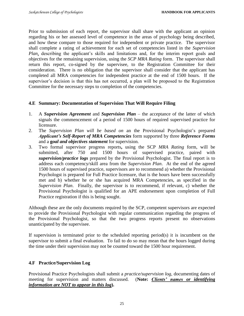Prior to submission of each report, the supervisor shall share with the applicant an opinion regarding his or her assessed level of competence in the areas of psychology being described, and how these compare to those required for independent or private practice. The supervisor shall complete a rating of achievement for each set of competencies listed in the *Supervision Plan,* describing the applicant's skills and limitations and, for the interim report goals and objectives for the remaining supervision, using the *SCP MRA Rating* form. The supervisor shall return this report, co-signed by the supervisee, to the Registration Committee for their consideration. There is no obligation that the supervisor shall consider that the applicant has completed all MRA competencies for independent practice at the end of 1500 hours. If the supervisor's decision is that this has not occurred, a plan will be proposed to the Registration Committee for the necessary steps to completion of the competencies.

# **4.E Summary: Documentation of Supervision That Will Require Filing**

- 1. A *Supervision Agreement* and *Supervision Plan* the acceptance of the latter of which signals the commencement of a period of 1500 hours of required supervised practice for licensure.
- 2. The *Supervision Plan will be based on* an the Provisional Psychologist's prepared *Applicant's Self-Report of MRA Competencies* form supported by three *Reference Forms* and a **g***oal and objectives statement* for supervision.
- 3. Two formal supervisor progress reports**,** using the SCP *MRA Rating* form, will be submitted, after 750 and 1500 hours of supervised practice, paired with *supervision/practice logs* prepared by the Provisional Psychologist. The final report is to address each competency/skill area from the *Supervision Plan*. At the end of the agreed 1500 hours of supervised practice, supervisors are to recommend a) whether the Provisional Psychologst is prepared for Full Practice licensure, that is the hours have been successfully met and b) whether he or she has acquired MRA Competencies, as specified in the *Supervision Plan*. Finally, the supervisor is to recommend, if relevant, c) whether the Provisional Psychologist is qualified for an APE endorsement upon completion of Full Practice registration if this is being sought.

Although these are the only documents required by the SCP, competent supervisors are expected to provide the Provisional Psychologist with regular communication regarding the progress of the Provisional Psychologist, so that the two progress reports present no observations unanticipated by the supervisee.

If supervision is terminated prior to the scheduled reporting period(s) it is incumbent on the supervisor to submit a final evaluation. To fail to do so may mean that the hours logged during the time under their supervision may not be counted toward the 1500 hour requirement.

# **4.F Practice/Supervision Log**

Provisional Practice Psychologists shall submit a *practice/supervision log*, documenting dates of meeting for supervision and matters discussed. (**Note:** *Clients' names or identifying information are NOT to appear in this log***).**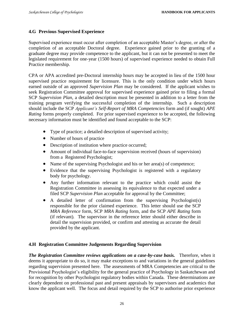#### **4.G Previous Supervised Experience**

Supervised experience must occur after completion of an acceptable Master's degree, or after the completion of an acceptable Doctoral degree. Experience gained prior to the granting of a graduate degree may provide competence to the applicant, but it can not be presented to meet the legislated requirement for one-year (1500 hours) of supervised experience needed to obtain Full Practice membership.

CPA or APA accredited pre-Doctoral internship hours may be accepted in lieu of the 1500 hour supervised practice requirement for licensure. This is the only condition under which hours earned outside of an approved *Supervision Plan* may be considered. If the applicant wishes to seek Registration Committee approval for supervised experience gained prior to filing a formal SCP *Supervision Plan*, a detailed description must be presented in addition to a letter from the training program verifying the successful completion of the internship. Such a description should include the SCP *Applicant's Self-Report of MRA Competencies* form and (if sought) *APE Rating* forms properly completed. For prior supervised experience to be accepted, the following necessary information must be identified and found acceptable to the SCP:

- Type of practice; a detailed description of supervised activity;
- Number of hours of practice
- Description of institution where practice occurred;
- Amount of individual face-to-face supervision received (hours of supervision) from a Registered Psychologist;
- Name of the supervising Psychologist and his or her area(s) of competence;
- Evidence that the supervising Psychologist is registered with a regulatory body for psychology.
- Any further information relevant to the practice which could assist the Registration Committee in assessing its equivalence to that expected under a filed SCP *Supervision Plan* acceptable for approval by the Committee;
- A detailed letter of confirmation from the supervising Psychologist(s) responsible for the prior claimed experience. This letter should use the SCP *MRA Reference* form*,* SCP *MRA Rating* form*,* and the SCP *APE Rating* form (if relevant)*.* The supervisor in the reference letter should either describe in detail the supervision provided, or confirm and attesting as accurate the detail provided by the applicant.

# **4.H Registration Committee Judgements Regarding Supervision**

*The Registration Committee reviews applications on a case-by-case basis.*Therefore, when it deems it appropriate to do so, it may make exceptions to and variations in the general guidelines regarding supervision presented here. The assessments of MRA Competencies are critical to the Provisional Psychologist's eligibility for the general practice of Psychology in Saskatchewan and for recognition by other Psychologist regulatory bodies within Canada. These determinations are clearly dependent on professional past and present appraisals by supervisors and academics that know the applicant well. The focus and detail required by the SCP to authorise prior experience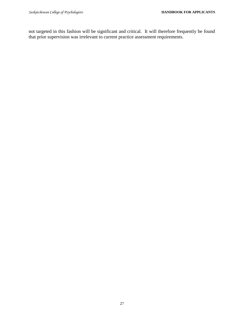not targeted in this fashion will be significant and critical. It will therefore frequently be found that prior supervision was irrelevant to current practice assessment requirements.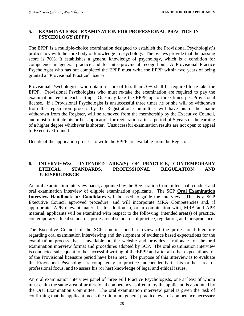# **5. EXAMINATIONS - EXAMINATION FOR PROFESSIONAL PRACTICE IN PSYCHOLOGY (EPPP)**

The EPPP is a multiple-choice examination designed to establish the Provisional Psychologist's proficiency with the core body of knowledge in psychology. The bylaws provide that the passing score is 70%. It establishes a general knowledge of psychology, which is a condition for competence in general practice and for inter-provincial recognition. A Provisional Practice Psychologist who has not completed the EPPP must write the EPPP within two years of being granted a "Provisional Practice" license.

Provisional Psychologists who obtain a score of less than 70% shall be required to re-take the EPPP. Provisional Psychologists who must re-take the examination are required to pay the examination fee for each sitting. One may take the EPPP up to three times per Provisional license. If a Provisional Psychologist is unsuccessful three times he or she will be withdrawn from the registration process by the Registration Committee, will have his or her name withdrawn from the Register, will be removed from the membership by the Executive Council, and must re-initiate his or her application for registration after a period of 5 years or the earning of a higher degree whichever is shorter. Unsuccessful examination results are not open to appeal to Executive Council.

Details of the application process to write the EPPP are available from the Registrar.

#### **6. INTERVIEWS: INTENDED AREA(S) OF PRACTICE, CONTEMPORARY ETHICAL STANDARDS, PROFESSIONAL REGULATION AND JURISPRUDENCE**

An oral examination interview panel, appointed by the Registration Committee shall conduct and oral examination interview of eligible examination applicants. The SCP **Oral Examination Interview Handbook for Candidates** will be used to guide the interview. This is a SCP Executive Council approved procedure, and will incorporate MRA Competencies and, if appropriate, APE relevant material. In addition to, or in combination with, MRA and APE material, applicants will be examined with respect to the following: intended area(s) of practice, contemporary ethical standards, professional standards of practice, regulation, and jurisprudence.

The Executive Council of the SCP commissioned a review of the professional literature regarding oral examination interviewing and development of evidence based expectations for the examination process that is available on the website and provides a rationale for the oral examination interview format and procedures adopted by SCP. The oral examination interview is conducted subsequent to the successful writing of the EPPP and after all other expectations for of the Provisional licensure period have been met. The purpose of this interview is to evaluate the Provisional Psychologist's competency to practice independently in his or her area of professional focus, and to assess his (or her) knowledge of legal and ethical issues.

An oral examination interview panel of three Full Practice Psychologists, one at least of whom must claim the same area of professional competency aspired to by the applicant, is appointed by the Oral Examination Committee. The oral examination interview panel is given the task of confirming that the applicant meets the minimum general practice level of competence necessary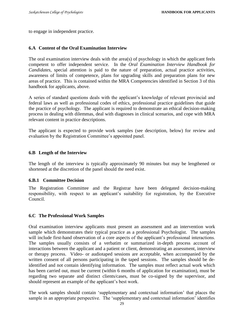to engage in independent practice.

#### **6.A Content of the Oral Examination Interview**

The oral examination interview deals with the area(s) of psychology in which the applicant feels competent to offer independent service. In the *Oral Examination Interview Handbook for Candidates*, special attention is paid to the nature of preparation, actual practice activities, awareness of limits of competence, plans for upgrading skills and preparation plans for new areas of practice. This is contained within the MRA Competencies identified in Section 3 of this handbook for applicants, above.

A series of standard questions deals with the applicant's knowledge of relevant provincial and federal laws as well as professional codes of ethics, professional practice guidelines that guide the practice of psychology. The applicant is required to demonstrate an ethical decision-making process in dealing with dilemmas, deal with diagnoses in clinical scenarios, and cope with MRA relevant content in practice descriptions.

The applicant is expected to provide work samples (see description, below) for review and evaluation by the Registration Committee's appointed panel.

#### **6.B Length of the Interview**

The length of the interview is typically approximately 90 minutes but may be lengthened or shortened at the discretion of the panel should the need exist.

#### **6.B.1 Committee Decision**

The Registration Committee and the Registrar have been delegated decision-making responsibility, with respect to an applicant's suitability for registration, by the Executive Council.

#### **6.C The Professional Work Samples**

Oral examination interview applicants must present an assessment and an intervention work sample which demonstrates their typical practice as a professional Psychologist. The samples will include first-hand observation of a core aspects of the applicant's professional interactions. The samples usually consists of a verbatim or summarized in-depth process account of interactions between the applicant and a patient or client, demonstrating an assessment, interview or therapy process. Video- or audiotaped sessions are acceptable, when accompanied by the written consent of all persons participating in the taped sessions. The samples should be deidentified and not contain identifying information. The samples must reflect actual work which has been carried out, must be current (within 6 months of application for examination), must be regarding two separate and distinct clients/cases, must be co-signed by the supervisor, and should represent an example of the applicant's best work.

The work samples should contain 'supplementary and contextual information' that places the sample in an appropriate perspective. The 'supplementary and contextual information' identifies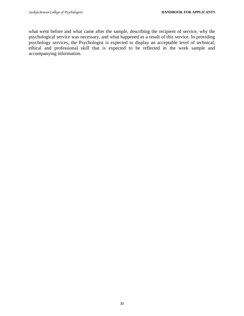what went before and what came after the sample, describing the recipient of service, why the psychological service was necessary, and what happened as a result of this service. In providing psychology services, the Psychologist is expected to display an acceptable level of technical, ethical and professional skill that is expected to be reflected in the work sample and accompanying information.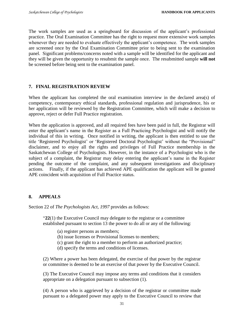The work samples are used as a springboard for discussion of the applicant's professional practice. The Oral Examination Committee has the right to request more extensive work samples whenever they are needed to evaluate effectively the applicant's competence. The work samples are screened once by the Oral Examination Committee prior to being sent to the examination panel. Significant problems/concerns noted with a sample will be identified for the applicant and they will be given the opportunity to resubmit the sample once. The resubmitted sample **will not** be screened before being sent to the examination panel.

# **7. FINAL REGISTRATION REVIEW**

When the applicant has completed the oral examination interview in the declared area(s) of competency, contemporary ethical standards, professional regulation and jurisprudence, his or her application will be reviewed by the Registration Committee, which will make a decision to approve, reject or defer Full Practice registration.

When the application is approved, and all required fees have been paid in full, the Registrar will enter the applicant's name in the Register as a Full Practicing Psychologist and will notify the individual of this in writing. Once notified in writing, the applicant is then entitled to use the title 'Registered Psychologist' or 'Registered Doctoral Psychologist' without the "Provisional" disclaimer, and to enjoy all the rights and privileges of Full Practice membership in the Saskatchewan College of Psychologists. However, in the instance of a Psychologist who is the subject of a complaint, the Registrar may delay entering the applicant's name in the Register pending the outcome of the complaint, and any subsequent investigations and disciplinary actions. Finally, if the applicant has achieved APE qualification the applicant will be granted APE coincident with acquisition of Full Practice status.

# **8. APPEALS**

Section 22 of *The Psychologists Act, 1997* provides as follows:

"**22**(1) the Executive Council may delegate to the registrar or a committee established pursuant to section 13 the power to do all or any of the following:

- (a) register persons as members;
- (b) issue licenses or Provisional licenses to members;
- (c) grant the right to a member to perform an authorized practice;
- (d) specify the terms and conditions of licenses.

(2) Where a power has been delegated, the exercise of that power by the registrar or committee is deemed to be an exercise of that power by the Executive Council.

(3) The Executive Council may impose any terms and conditions that it considers appropriate on a delegation pursuant to subsection (1).

(4) A person who is aggrieved by a decision of the registrar or committee made pursuant to a delegated power may apply to the Executive Council to review that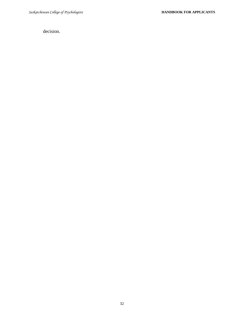decision.